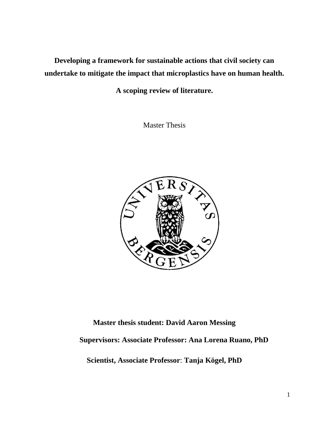**Developing a framework for sustainable actions that civil society can undertake to mitigate the impact that microplastics have on human health.** 

**A scoping review of literature.**

Master Thesis



# **Master thesis student: David Aaron Messing Supervisors: Associate Professor: Ana Lorena Ruano, PhD Scientist, Associate Professor**: **Tanja Kögel, PhD**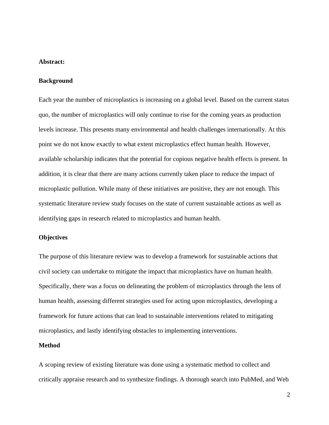# **Abstract:**

## **Background**

Each year the number of microplastics is increasing on a global level. Based on the current status quo, the number of microplastics will only continue to rise for the coming years as production levels increase. This presents many environmental and health challenges internationally. At this point we do not know exactly to what extent microplastics effect human health. However, available scholarship indicates that the potential for copious negative health effects is present. In addition, it is clear that there are many actions currently taken place to reduce the impact of microplastic pollution. While many of these initiatives are positive, they are not enough. This systematic literature review study focuses on the state of current sustainable actions as well as identifying gaps in research related to microplastics and human health.

## **Objectives**

The purpose of this literature review was to develop a framework for sustainable actions that civil society can undertake to mitigate the impact that microplastics have on human health. Specifically, there was a focus on delineating the problem of microplastics through the lens of human health, assessing different strategies used for acting upon microplastics, developing a framework for future actions that can lead to sustainable interventions related to mitigating microplastics, and lastly identifying obstacles to implementing interventions.

# **Method**

A scoping review of existing literature was done using a systematic method to collect and critically appraise research and to synthesize findings. A thorough search into PubMed, and Web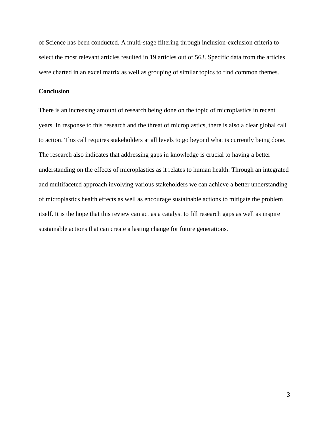of Science has been conducted. A multi-stage filtering through inclusion-exclusion criteria to select the most relevant articles resulted in 19 articles out of 563. Specific data from the articles were charted in an excel matrix as well as grouping of similar topics to find common themes.

# **Conclusion**

There is an increasing amount of research being done on the topic of microplastics in recent years. In response to this research and the threat of microplastics, there is also a clear global call to action. This call requires stakeholders at all levels to go beyond what is currently being done. The research also indicates that addressing gaps in knowledge is crucial to having a better understanding on the effects of microplastics as it relates to human health. Through an integrated and multifaceted approach involving various stakeholders we can achieve a better understanding of microplastics health effects as well as encourage sustainable actions to mitigate the problem itself. It is the hope that this review can act as a catalyst to fill research gaps as well as inspire sustainable actions that can create a lasting change for future generations.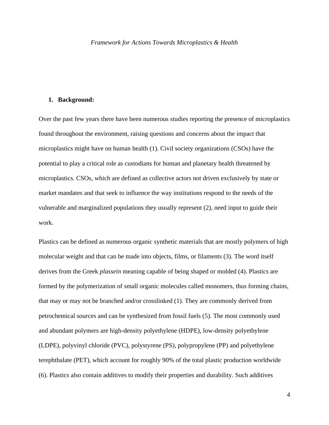## **1. Background:**

Over the past few years there have been numerous studies reporting the presence of microplastics found throughout the environment, raising questions and concerns about the impact that microplastics might have on human health (1). Civil society organizations (CSOs) have the potential to play a critical role as custodians for human and planetary health threatened by microplastics. CSOs, which are defined as collective actors not driven exclusively by state or market mandates and that seek to influence the way institutions respond to the needs of the vulnerable and marginalized populations they usually represent (2), need input to guide their work.

Plastics can be defined as numerous organic synthetic materials that are mostly polymers of high molecular weight and that can be made into objects, films, or filaments (3). The word itself derives from the Greek *plassein* meaning capable of being shaped or molded (4). Plastics are formed by the polymerization of small organic molecules called monomers, thus forming chains, that may or may not be branched and/or crosslinked (1). They are commonly derived from petrochemical sources and can be synthesized from fossil fuels (5). The most commonly used and abundant polymers are high-density [polyethylene](https://www.sciencedirect.com/topics/earth-and-planetary-sciences/polyethylene) (HDPE), low-density polyethylene (LDPE), [polyvinyl chloride](https://www.sciencedirect.com/topics/earth-and-planetary-sciences/polyvinyl-chloride) (PVC), [polystyrene](https://www.sciencedirect.com/topics/earth-and-planetary-sciences/polystyrene) (PS), [polypropylene](https://www.sciencedirect.com/topics/earth-and-planetary-sciences/polypropylene) (PP) and [polyethylene](https://www.sciencedirect.com/topics/earth-and-planetary-sciences/polyethylene-terephthalate)  [terephthalate](https://www.sciencedirect.com/topics/earth-and-planetary-sciences/polyethylene-terephthalate) (PET), which account for roughly 90% of the total plastic production worldwide (6). Plastics also contain additives to modify their properties and durability. Such additives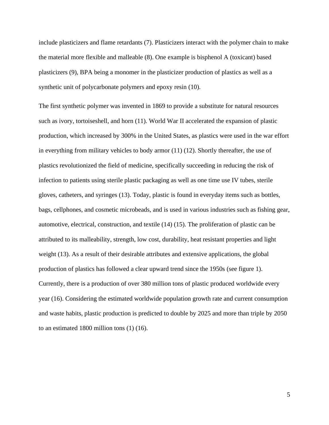include plasticizers and flame retardants (7). Plasticizers interact with the polymer chain to make the material more flexible and malleable (8). One example is bisphenol A (toxicant) based plasticizers (9), BPA being a monomer in the plasticizer production of plastics as well as a synthetic unit of polycarbonate polymers and epoxy resin (10).

The first synthetic polymer was invented in 1869 to provide a substitute for natural resources such as ivory, tortoiseshell, and horn (11). World War II accelerated the expansion of plastic production, which increased by 300% in the United States, as plastics were used in the war effort in everything from military vehicles to body armor (11) (12). Shortly thereafter, the use of plastics revolutionized the field of medicine, specifically succeeding in reducing the risk of infection to patients using sterile plastic packaging as well as one time use IV tubes, sterile gloves, catheters, and syringes (13). Today, plastic is found in everyday items such as bottles, bags, cellphones, and cosmetic microbeads, and is used in various industries such as fishing gear, automotive, electrical, construction, and textile (14) (15). The proliferation of plastic can be attributed to its malleability, strength, low cost, durability, heat resistant properties and light weight (13). As a result of their desirable attributes and extensive applications, the global production of plastics has followed a clear upward trend since the 1950s (see figure 1). Currently, there is a production of over 380 million tons of plastic produced worldwide every year (16). Considering the estimated worldwide population growth rate and current consumption and waste habits, plastic production is predicted to double by 2025 and more than triple by 2050 to an estimated 1800 million tons (1) (16).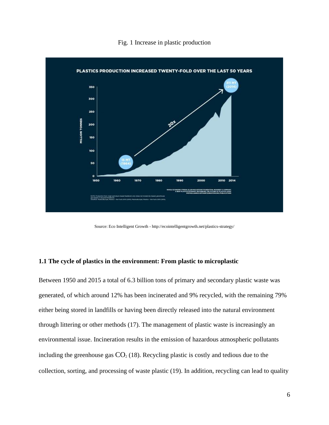## Fig. 1 Increase in plastic production



Source: Eco Intelligent Growth - http://ecointelligentgrowth.net/plastics-strategy/

# **1.1 The cycle of plastics in the environment: From plastic to microplastic**

Between 1950 and 2015 a total of 6.3 billion tons of primary and secondary plastic waste was generated, of which around 12% has been incinerated and 9% recycled, with the remaining 79% either being stored in landfills or having been directly released into the natural environment through littering or other methods (17). The management of plastic waste is increasingly an environmental issue. Incineration results in the emission of hazardous atmospheric pollutants including the greenhouse gas  $CO<sub>2</sub>$  (18). Recycling plastic is costly and tedious due to the collection, sorting, and processing of waste plastic (19). In addition, recycling can lead to quality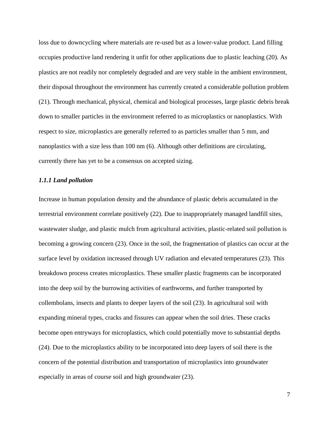loss due to downcycling where materials are re-used but as a lower-value product. Land filling occupies productive land rendering it unfit for other applications due to plastic leaching (20). As plastics are not readily nor completely degraded and are very stable in the ambient environment, their disposal throughout the environment has currently created a considerable pollution problem (21). Through mechanical, physical, chemical and biological processes, large plastic debris break down to smaller particles in the environment referred to as microplastics or nanoplastics. With respect to size, microplastics are generally referred to as particles smaller than 5 mm, and nanoplastics with a size less than 100 nm (6). Although other definitions are circulating, currently there has yet to be a consensus on accepted sizing.

## *1.1.1 Land pollution*

Increase in human population density and the abundance of plastic debris accumulated in the terrestrial environment correlate positively (22). Due to inappropriately managed landfill sites, wastewater sludge, and plastic mulch from agricultural activities, plastic-related soil pollution is becoming a growing concern (23). Once in the soil, the fragmentation of plastics can occur at the surface level by oxidation increased through UV radiation and elevated temperatures (23). This breakdown process creates microplastics. These smaller plastic fragments can be incorporated into the deep soil by the burrowing activities of earthworms, and further transported by collembolans, insects and plants to deeper layers of the soil (23). In agricultural soil with expanding mineral types, cracks and fissures can appear when the soil dries. These cracks become open entryways for microplastics, which could potentially move to substantial depths (24). Due to the microplastics ability to be incorporated into deep layers of soil there is the concern of the potential distribution and transportation of microplastics into groundwater especially in areas of course soil and high groundwater (23).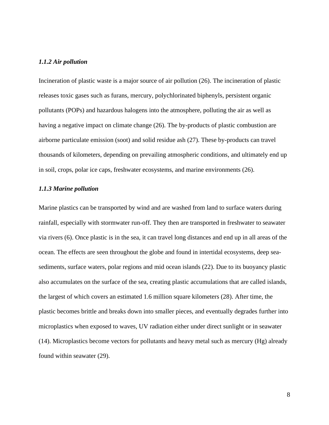## *1.1.2 Air pollution*

Incineration of plastic waste is a major source of air pollution (26). The incineration of plastic releases toxic gases such as furans, mercury, polychlorinated biphenyls, persistent organic pollutants (POPs) and hazardous halogens into the atmosphere, polluting the air as well as having a negative impact on climate change (26). The by-products of plastic combustion are airborne particulate emission (soot) and solid residue ash (27). These by-products can travel thousands of kilometers, depending on prevailing atmospheric conditions, and ultimately end up in soil, crops, polar ice caps, freshwater ecosystems, and marine environments (26).

# *1.1.3 Marine pollution*

Marine plastics can be transported by wind and are washed from land to surface waters during rainfall, especially with stormwater run-off. They then are transported in freshwater to seawater via rivers (6). Once plastic is in the sea, it can travel long distances and end up in all areas of the ocean. The effects are seen throughout the globe and found in intertidal ecosystems, [deep sea](https://www.sciencedirect.com/topics/earth-and-planetary-sciences/deep-sea-sediment)[sediments,](https://www.sciencedirect.com/topics/earth-and-planetary-sciences/deep-sea-sediment) surface waters, polar regions and mid ocean islands (22). Due to its buoyancy plastic also accumulates on the surface of the sea, creating plastic accumulations that are called islands, the largest of which covers an estimated 1.6 million square kilometers (28). After time, the plastic becomes brittle and breaks down into smaller pieces, and eventually degrades further into microplastics when exposed to waves, UV radiation either under direct sunlight or in seawater (14). Microplastics become vectors for pollutants and heavy metal such as mercury (Hg) already found within seawater (29).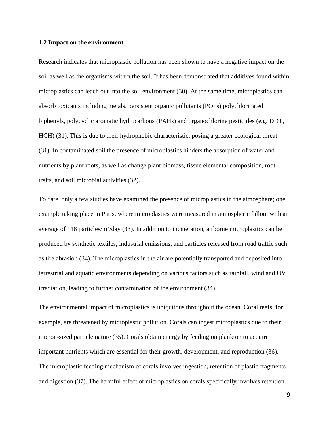#### **1.2 Impact on the environment**

Research indicates that microplastic pollution has been shown to have a negative impact on the soil as well as the organisms within the soil. It has been demonstrated that additives found within microplastics can leach out into the soil environment (30). At the same time, microplastics can absorb toxicants including metals, persistent organic pollutants (POPs) polychlorinated biphenyls, polycyclic aromatic hydrocarbons (PAHs) and [organochlorine pesticides](https://www.sciencedirect.com/topics/chemistry/organochlorine-pesticide) (e.g. DDT, HCH) (31). This is due to their hydrophobic characteristic, posing a greater ecological threat (31). In contaminated soil the presence of microplastics hinders the absorption of water and nutrients by plant roots, as well as change plant biomass, tissue elemental composition, root traits, and soil microbial activities (32).

To date, only a few studies have examined the presence of microplastics in the atmosphere; one example taking place in Paris, where microplastics were measured in atmospheric fallout with an average of 118 particles/ $m^2$ /day (33). In addition to incineration, airborne microplastics can be produced by synthetic textiles, industrial emissions, and particles released from road traffic such as tire abrasion (34). The microplastics in the air are potentially transported and deposited into terrestrial and aquatic environments depending on various factors such as rainfall, wind and UV irradiation, leading to further contamination of the environment (34).

The environmental impact of microplastics is ubiquitous throughout the ocean. Coral reefs, for example, are threatened by microplastic pollution. Corals can ingest microplastics due to their micron-sized particle nature (35). Corals obtain energy by feeding on plankton to acquire important nutrients which are essential for their growth, development, and reproduction (36). The microplastic feeding mechanism of corals involves ingestion, retention of plastic fragments and digestion (37). The harmful effect of microplastics on corals specifically involves retention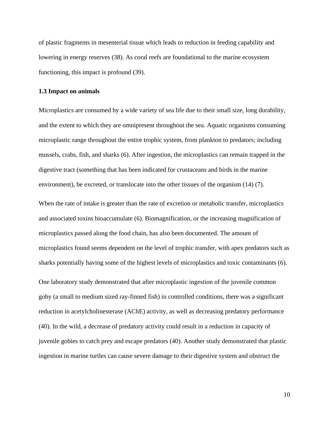of plastic fragments in mesenterial tissue which leads to reduction in feeding capability and lowering in energy reserves (38). As coral reefs are foundational to the marine ecosystem functioning, this impact is profound (39).

## **1.3 Impact on animals**

Microplastics are consumed by a wide variety of sea life due to their small size, long durability, and the extent to which they are omnipresent throughout the sea. Aquatic organisms consuming microplastic range throughout the entire trophic system, from plankton to predators; including mussels, crabs, fish, and sharks (6). After ingestion, the microplastics can remain trapped in the digestive tract (something that has been indicated for crustaceans and birds in the marine environment), be excreted, or translocate into the other tissues of the organism (14) (7).

When the rate of intake is greater than the rate of excretion or metabolic transfer, microplastics and associated toxins bioaccumulate (6). Biomagnification, or the increasing magnification of microplastics passed along the food chain, has also been documented. The amount of microplastics found seems dependent on the level of trophic transfer, with apex predators such as sharks potentially having some of the highest levels of microplastics and toxic contaminants (6).

One laboratory study demonstrated that after microplastic ingestion of the juvenile common goby (a small to medium sized ray-finned fish) in controlled conditions, there was a significant reduction in acetylcholinesterase (AChE) activity, as well as decreasing predatory performance (40). In the wild, a decrease of predatory activity could result in a reduction in capacity of juvenile gobies to catch prey and escape predators (40). Another study demonstrated that plastic ingestion in marine turtles can cause severe damage to their digestive system and obstruct the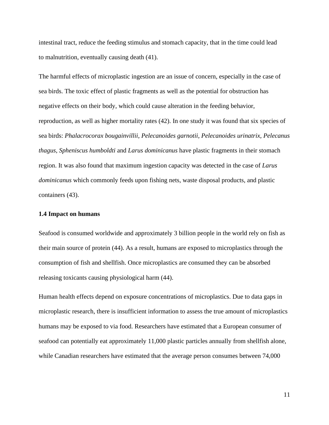intestinal tract, reduce the feeding stimulus and stomach capacity, that in the time could lead to [malnutrition,](https://www.sciencedirect.com/topics/earth-and-planetary-sciences/malnutrition) eventually causing death (41).

The harmful effects of microplastic ingestion are an issue of concern, especially in the case of sea birds. The toxic effect of plastic fragments as well as the potential for obstruction has negative effects on their body, which could cause alteration in the feeding behavior, reproduction, as well as higher mortality rates (42). In one study it was found that six species of sea birds: *Phalacrocorax bougainvillii*, *Pelecanoides garnotii*, *Pelecanoides urinatrix*, *Pelecanus thagus*, *Spheniscus humboldti* and *Larus dominicanus* have plastic fragments in their stomach region. It was also found that maximum ingestion capacity was detected in the case of *Larus dominicanus* which commonly feeds upon fishing nets, waste disposal products, and plastic containers (43).

#### **1.4 Impact on humans**

Seafood is consumed worldwide and approximately 3 billion people in the world rely on fish as their main source of protein (44). As a result, humans are exposed to microplastics through the consumption of fish and shellfish. Once microplastics are consumed they can be absorbed releasing toxicants causing physiological harm (44).

Human health effects depend on exposure concentrations of microplastics. Due to data gaps in microplastic research, there is insufficient information to assess the true amount of microplastics humans may be exposed to via food. Researchers have estimated that a European consumer of seafood can potentially eat approximately 11,000 plastic particles annually from shellfish alone, while Canadian researchers have estimated that the average person consumes between 74,000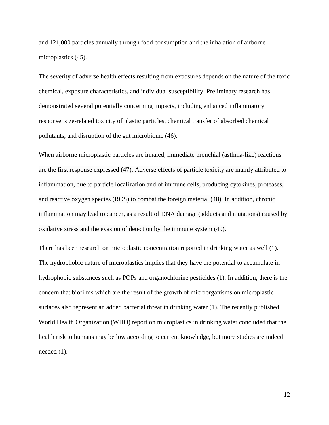and 121,000 particles annually through food consumption and the inhalation of airborne microplastics  $(45)$ .

The severity of adverse health effects resulting from exposures depends on the nature of the toxic chemical, exposure characteristics, and individual susceptibility. Preliminary research has demonstrated several potentially concerning impacts, including enhanced inflammatory response, size-related toxicity of plastic particles, chemical transfer of absorbed chemical pollutants, and disruption of the gut microbiome (46).

When airborne microplastic particles are inhaled, immediate bronchial (asthma-like) reactions are the first response expressed (47). Adverse effects of particle toxicity are mainly attributed to inflammation, due to particle localization and of immune cells, producing cytokines, proteases, and reactive oxygen species (ROS) to combat the foreign material (48). In addition, chronic inflammation may lead to cancer, as a result of DNA damage (adducts and mutations) caused by oxidative stress and the evasion of detection by the immune system (49).

There has been research on microplastic concentration reported in drinking water as well (1). The hydrophobic nature of microplastics implies that they have the potential to accumulate in hydrophobic substances such as POPs and organochlorine pesticides (1). In addition, there is the concern that biofilms which are the result of the growth of microorganisms on microplastic surfaces also represent an added bacterial threat in drinking water (1). The recently published World Health Organization (WHO) report on microplastics in drinking water concluded that the health risk to humans may be low according to current knowledge, but more studies are indeed needed (1).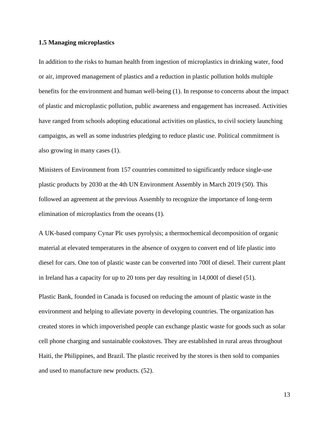## **1.5 Managing microplastics**

In addition to the risks to human health from ingestion of microplastics in drinking water, food or air, improved management of plastics and a reduction in plastic pollution holds multiple benefits for the environment and human well-being (1). In response to concerns about the impact of plastic and microplastic pollution, public awareness and engagement has increased. Activities have ranged from schools adopting educational activities on plastics, to civil society launching campaigns, as well as some industries pledging to reduce plastic use. Political commitment is also growing in many cases (1).

Ministers of Environment from 157 countries committed to significantly reduce single-use plastic products by 2030 at the 4th UN Environment Assembly in March 2019 (50). This followed an agreement at the previous Assembly to recognize the importance of long-term elimination of microplastics from the oceans (1).

A UK-based company Cynar Plc uses pyrolysis; a thermochemical decomposition of organic material at elevated temperatures in the absence of oxygen to convert end of life plastic into diesel for cars. One ton of plastic waste can be converted into 700l of diesel. Their current plant in Ireland has a capacity for up to 20 tons per day resulting in 14,000l of diesel (51).

Plastic Bank, founded in Canada is focused on reducing the amount of plastic waste in the environment and helping to alleviate poverty in developing countries. The organization has created stores in which impoverished people can exchange plastic waste for goods such as solar cell phone charging and sustainable cookstoves. They are established in rural areas throughout Haiti, the Philippines, and Brazil. The plastic received by the stores is then sold to companies and used to manufacture new products. (52).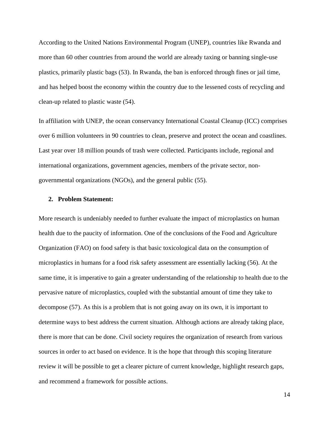According to the United Nations Environmental Program (UNEP), countries like Rwanda and more than 60 other countries from around the world are already taxing or banning single-use plastics, primarily plastic bags (53). In Rwanda, the ban is enforced through fines or jail time, and has helped boost the economy within the country due to the lessened costs of recycling and clean-up related to plastic waste (54).

In affiliation with UNEP, the ocean conservancy International Coastal Cleanup (ICC) comprises over 6 million volunteers in 90 countries to clean, preserve and protect the ocean and coastlines. Last year over 18 million pounds of trash were collected. Participants include, regional and international organizations, government agencies, members of the private sector, nongovernmental organizations (NGOs), and the general public (55).

# **2. Problem Statement:**

More research is undeniably needed to further evaluate the impact of microplastics on human health due to the paucity of information. One of the conclusions of the Food and Agriculture Organization (FAO) on food safety is that basic toxicological data on the consumption of microplastics in humans for a food risk safety assessment are essentially lacking (56). At the same time, it is imperative to gain a greater understanding of the relationship to health due to the pervasive nature of microplastics, coupled with the substantial amount of time they take to decompose (57). As this is a problem that is not going away on its own, it is important to determine ways to best address the current situation. Although actions are already taking place, there is more that can be done. Civil society requires the organization of research from various sources in order to act based on evidence. It is the hope that through this scoping literature review it will be possible to get a clearer picture of current knowledge, highlight research gaps, and recommend a framework for possible actions.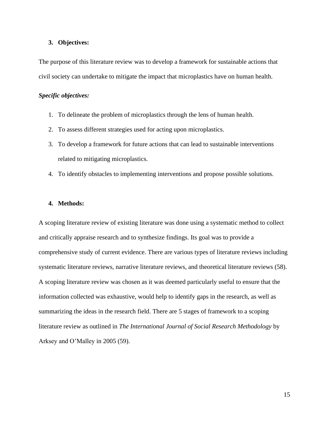## **3. Objectives:**

The purpose of this literature review was to develop a framework for sustainable actions that civil society can undertake to mitigate the impact that microplastics have on human health.

# *Specific objectives:*

- 1. To delineate the problem of microplastics through the lens of human health.
- 2. To assess different strategies used for acting upon microplastics.
- 3. To develop a framework for future actions that can lead to sustainable interventions related to mitigating microplastics.
- 4. To identify obstacles to implementing interventions and propose possible solutions.

# **4. Methods:**

A scoping literature review of existing literature was done using a systematic method to collect and critically appraise research and to synthesize findings. Its goal was to provide a comprehensive study of current evidence. There are various types of literature reviews including systematic literature reviews, narrative literature reviews, and theoretical literature reviews (58). A scoping literature review was chosen as it was deemed particularly useful to ensure that the information collected was exhaustive, would help to identify gaps in the research, as well as summarizing the ideas in the research field. There are 5 stages of framework to a scoping literature review as outlined in *The International Journal of Social Research Methodology* by Arksey and O'Malley in 2005 (59).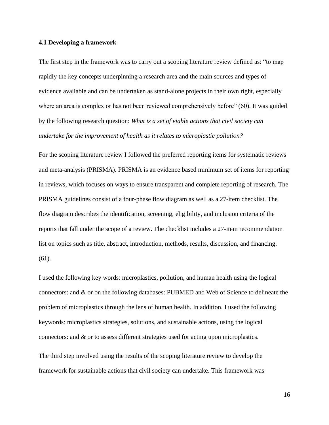## **4.1 Developing a framework**

The first step in the framework was to carry out a scoping literature review defined as: "to map rapidly the key concepts underpinning a research area and the main sources and types of evidence available and can be undertaken as stand-alone projects in their own right, especially where an area is complex or has not been reviewed comprehensively before" (60). It was guided by the following research question: *What is a set of viable actions that civil society can undertake for the improvement of health as it relates to microplastic pollution?* 

For the scoping literature review I followed the preferred reporting items for systematic reviews and meta-analysis (PRISMA). PRISMA is an evidence based minimum set of items for reporting in reviews, which focuses on ways to ensure transparent and complete reporting of research. The PRISMA guidelines consist of a four-phase flow diagram as well as a 27-item checklist. The flow diagram describes the identification, screening, eligibility, and inclusion criteria of the reports that fall under the scope of a review. The checklist includes a 27-item recommendation list on topics such as title, abstract, introduction, methods, results, discussion, and financing. (61).

I used the following key words: microplastics, pollution, and human health using the logical connectors: and & or on the following databases: PUBMED and Web of Science to delineate the problem of microplastics through the lens of human health. In addition, I used the following keywords: microplastics strategies, solutions, and sustainable actions, using the logical connectors: and & or to assess different strategies used for acting upon microplastics.

The third step involved using the results of the scoping literature review to develop the framework for sustainable actions that civil society can undertake. This framework was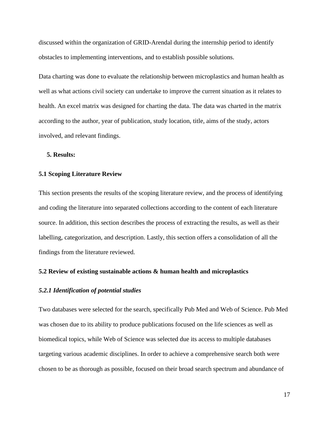discussed within the organization of GRID-Arendal during the internship period to identify obstacles to implementing interventions, and to establish possible solutions.

Data charting was done to evaluate the relationship between microplastics and human health as well as what actions civil society can undertake to improve the current situation as it relates to health. An excel matrix was designed for charting the data. The data was charted in the matrix according to the author, year of publication, study location, title, aims of the study, actors involved, and relevant findings.

# **5. Results:**

## **5.1 Scoping Literature Review**

This section presents the results of the scoping literature review, and the process of identifying and coding the literature into separated collections according to the content of each literature source. In addition, this section describes the process of extracting the results, as well as their labelling, categorization, and description. Lastly, this section offers a consolidation of all the findings from the literature reviewed.

## **5.2 Review of existing sustainable actions & human health and microplastics**

#### *5.2.1 Identification of potential studies*

Two databases were selected for the search, specifically Pub Med and Web of Science. Pub Med was chosen due to its ability to produce publications focused on the life sciences as well as biomedical topics, while Web of Science was selected due its access to multiple databases targeting various academic disciplines. In order to achieve a comprehensive search both were chosen to be as thorough as possible, focused on their broad search spectrum and abundance of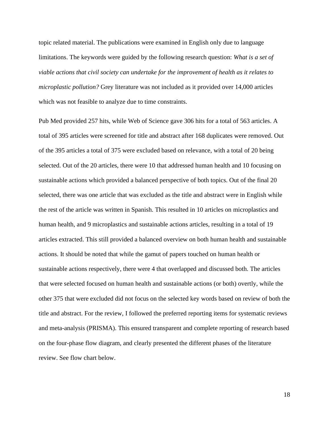topic related material. The publications were examined in English only due to language limitations. The keywords were guided by the following research question: *What is a set of viable actions that civil society can undertake for the improvement of health as it relates to microplastic pollution?* Grey literature was not included as it provided over 14,000 articles which was not feasible to analyze due to time constraints.

Pub Med provided 257 hits, while Web of Science gave 306 hits for a total of 563 articles. A total of 395 articles were screened for title and abstract after 168 duplicates were removed. Out of the 395 articles a total of 375 were excluded based on relevance, with a total of 20 being selected. Out of the 20 articles, there were 10 that addressed human health and 10 focusing on sustainable actions which provided a balanced perspective of both topics. Out of the final 20 selected, there was one article that was excluded as the title and abstract were in English while the rest of the article was written in Spanish. This resulted in 10 articles on microplastics and human health, and 9 microplastics and sustainable actions articles, resulting in a total of 19 articles extracted. This still provided a balanced overview on both human health and sustainable actions. It should be noted that while the gamut of papers touched on human health or sustainable actions respectively, there were 4 that overlapped and discussed both. The articles that were selected focused on human health and sustainable actions (or both) overtly, while the other 375 that were excluded did not focus on the selected key words based on review of both the title and abstract. For the review, I followed the preferred reporting items for systematic reviews and meta-analysis (PRISMA). This ensured transparent and complete reporting of research based on the four-phase flow diagram, and clearly presented the different phases of the literature review. See flow chart below.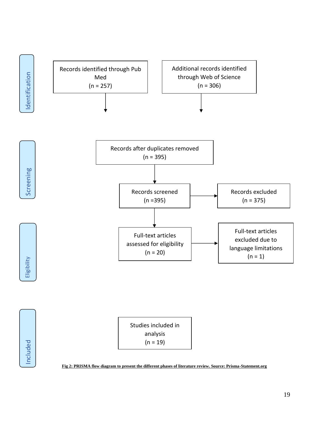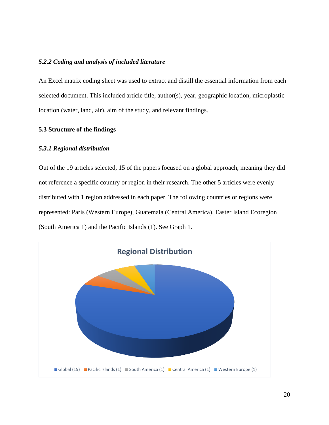# *5.2.2 Coding and analysis of included literature*

An Excel matrix coding sheet was used to extract and distill the essential information from each selected document. This included article title, author(s), year, geographic location, microplastic location (water, land, air), aim of the study, and relevant findings.

# **5.3 Structure of the findings**

# *5.3.1 Regional distribution*

Out of the 19 articles selected, 15 of the papers focused on a global approach, meaning they did not reference a specific country or region in their research. The other 5 articles were evenly distributed with 1 region addressed in each paper. The following countries or regions were represented: Paris (Western Europe), Guatemala (Central America), Easter Island Ecoregion (South America 1) and the Pacific Islands (1). See Graph 1.

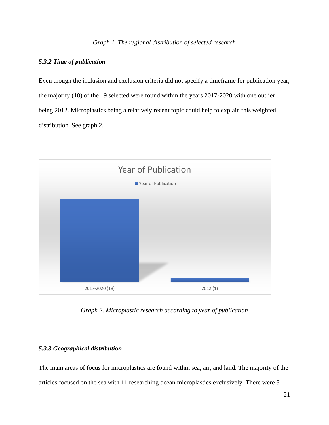# *5.3.2 Time of publication*

Even though the inclusion and exclusion criteria did not specify a timeframe for publication year, the majority (18) of the 19 selected were found within the years 2017-2020 with one outlier being 2012. Microplastics being a relatively recent topic could help to explain this weighted distribution. See graph 2.



*Graph 2. Microplastic research according to year of publication*

# *5.3.3 Geographical distribution*

The main areas of focus for microplastics are found within sea, air, and land. The majority of the articles focused on the sea with 11 researching ocean microplastics exclusively. There were 5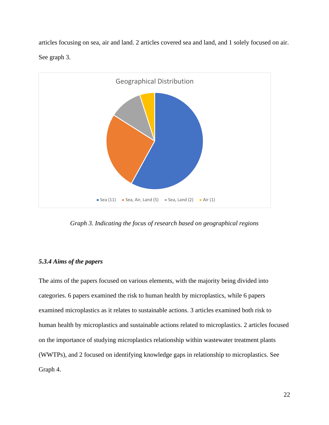articles focusing on sea, air and land. 2 articles covered sea and land, and 1 solely focused on air. See graph 3.



*Graph 3. Indicating the focus of research based on geographical regions*

# *5.3.4 Aims of the papers*

The aims of the papers focused on various elements, with the majority being divided into categories. 6 papers examined the risk to human health by microplastics, while 6 papers examined microplastics as it relates to sustainable actions. 3 articles examined both risk to human health by microplastics and sustainable actions related to microplastics. 2 articles focused on the importance of studying microplastics relationship within wastewater treatment plants (WWTPs), and 2 focused on identifying knowledge gaps in relationship to microplastics. See Graph 4.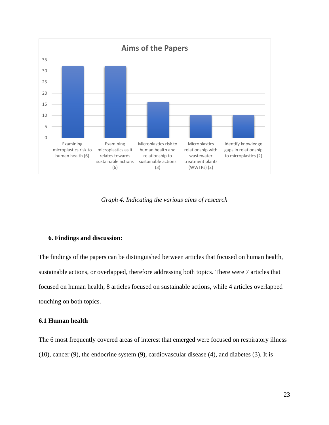

*Graph 4. Indicating the various aims of research*

## **6. Findings and discussion:**

The findings of the papers can be distinguished between articles that focused on human health, sustainable actions, or overlapped, therefore addressing both topics. There were 7 articles that focused on human health, 8 articles focused on sustainable actions, while 4 articles overlapped touching on both topics.

# **6.1 Human health**

The 6 most frequently covered areas of interest that emerged were focused on respiratory illness (10), cancer (9), the endocrine system (9), cardiovascular disease (4), and diabetes (3). It is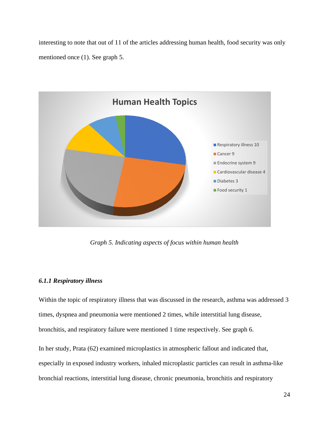interesting to note that out of 11 of the articles addressing human health, food security was only mentioned once (1). See graph 5.



*Graph 5. Indicating aspects of focus within human health*

# *6.1.1 Respiratory illness*

Within the topic of respiratory illness that was discussed in the research, asthma was addressed 3 times, dyspnea and pneumonia were mentioned 2 times, while interstitial lung disease, bronchitis, and respiratory failure were mentioned 1 time respectively. See graph 6.

In her study, Prata (62) examined microplastics in atmospheric fallout and indicated that, especially in exposed industry workers, inhaled microplastic particles can result in asthma-like bronchial reactions, interstitial lung disease, chronic pneumonia, bronchitis and respiratory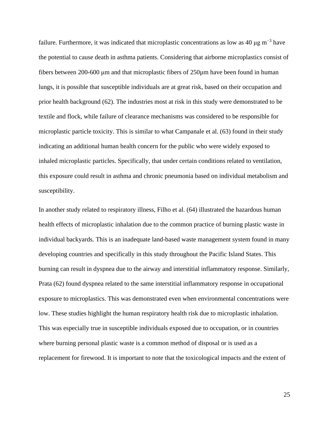failure. Furthermore, it was indicated that microplastic concentrations as low as 40  $\mu$ g m<sup>-3</sup> have the potential to cause death in asthma patients. Considering that airborne microplastics consist of fibers between 200-600 μm and that microplastic fibers of 250µm have been found in human lungs, it is possible that susceptible individuals are at great risk, based on their occupation and prior health background (62). The industries most at risk in this study were demonstrated to be textile and flock, while failure of clearance mechanisms was considered to be responsible for microplastic particle toxicity. This is similar to what Campanale et al. (63) found in their study indicating an additional human health concern for the public who were widely exposed to inhaled microplastic particles. Specifically, that under certain conditions related to ventilation, this exposure could result in asthma and chronic pneumonia based on individual metabolism and susceptibility.

In another study related to respiratory illness, Filho et al. (64) illustrated the hazardous human health effects of microplastic inhalation due to the common practice of burning plastic waste in individual backyards. This is an inadequate land-based waste management system found in many developing countries and specifically in this study throughout the Pacific Island States. This burning can result in dyspnea due to the airway and interstitial inflammatory response. Similarly, Prata (62) found dyspnea related to the same interstitial inflammatory response in occupational exposure to microplastics. This was demonstrated even when environmental concentrations were low. These studies highlight the human respiratory health risk due to microplastic inhalation. This was especially true in susceptible individuals exposed due to occupation, or in countries where burning personal plastic waste is a common method of disposal or is used as a replacement for firewood. It is important to note that the toxicological impacts and the extent of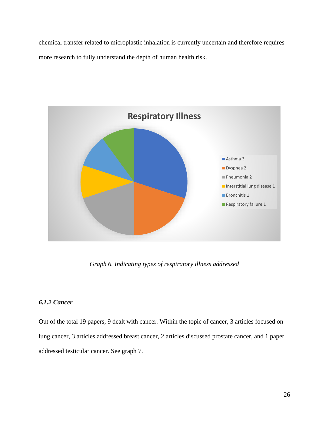chemical transfer related to microplastic inhalation is currently uncertain and therefore requires more research to fully understand the depth of human health risk.



*Graph 6. Indicating types of respiratory illness addressed*

# *6.1.2 Cancer*

Out of the total 19 papers, 9 dealt with cancer. Within the topic of cancer, 3 articles focused on lung cancer, 3 articles addressed breast cancer, 2 articles discussed prostate cancer, and 1 paper addressed testicular cancer. See graph 7.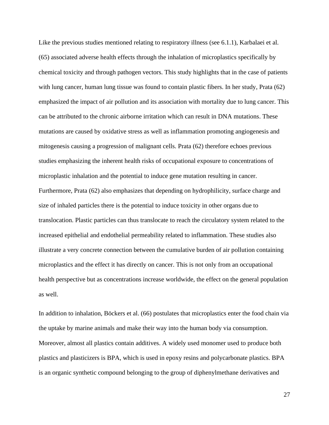Like the previous studies mentioned relating to respiratory illness (see 6.1.1), Karbalaei et al. (65) associated adverse health effects through the inhalation of microplastics specifically by chemical toxicity and through pathogen vectors. This study highlights that in the case of patients with lung cancer, human lung tissue was found to contain plastic fibers. In her study, Prata (62) emphasized the impact of air pollution and its association with mortality due to lung cancer. This can be attributed to the chronic airborne irritation which can result in DNA mutations. These mutations are caused by oxidative stress as well as inflammation promoting angiogenesis and mitogenesis causing a progression of malignant cells. Prata (62) therefore echoes previous studies emphasizing the inherent health risks of occupational exposure to concentrations of microplastic inhalation and the potential to induce gene mutation resulting in cancer. Furthermore, Prata (62) also emphasizes that depending on hydrophilicity, surface charge and size of inhaled particles there is the potential to induce toxicity in other organs due to translocation. Plastic particles can thus translocate to reach the circulatory system related to the increased epithelial and endothelial permeability related to inflammation. These studies also illustrate a very concrete connection between the cumulative burden of air pollution containing microplastics and the effect it has directly on cancer. This is not only from an occupational health perspective but as concentrations increase worldwide, the effect on the general population as well.

In addition to inhalation, Böckers et al. (66) postulates that microplastics enter the food chain via the uptake by marine animals and make their way into the human body via consumption. Moreover, almost all plastics contain additives. A widely used monomer used to produce both plastics and plasticizers is BPA, which is used in epoxy resins and polycarbonate plastics. BPA is an organic synthetic compound belonging to the group of diphenylmethane derivatives and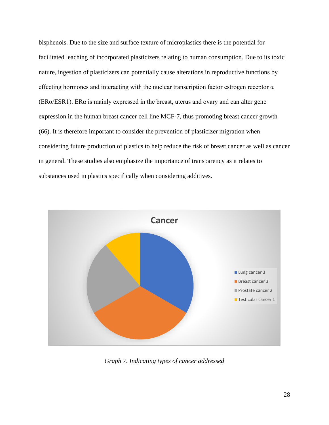bisphenols. Due to the size and surface texture of microplastics there is the potential for facilitated leaching of incorporated plasticizers relating to human consumption. Due to its toxic nature, ingestion of plasticizers can potentially cause alterations in reproductive functions by effecting hormones and interacting with the nuclear transcription factor estrogen receptor  $\alpha$ (ERα/ESR1). ERα is mainly expressed in the breast, uterus and ovary and can alter gene expression in the human breast cancer cell line MCF-7, thus promoting breast cancer growth (66). It is therefore important to consider the prevention of plasticizer migration when considering future production of plastics to help reduce the risk of breast cancer as well as cancer in general. These studies also emphasize the importance of transparency as it relates to substances used in plastics specifically when considering additives.



*Graph 7. Indicating types of cancer addressed*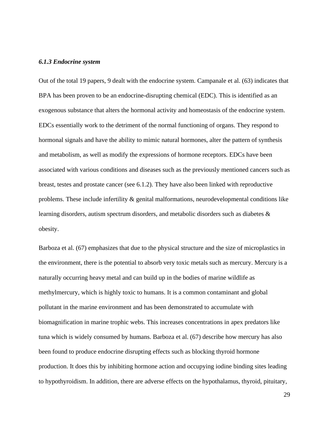#### *6.1.3 Endocrine system*

Out of the total 19 papers, 9 dealt with the endocrine system. Campanale et al. (63) indicates that BPA has been proven to be an endocrine-disrupting chemical (EDC). This is identified as an exogenous substance that alters the hormonal activity and homeostasis of the endocrine system. EDCs essentially work to the detriment of the normal functioning of organs. They respond to hormonal signals and have the ability to mimic natural hormones, alter the pattern of synthesis and metabolism, as well as modify the expressions of hormone receptors. EDCs have been associated with various conditions and diseases such as the previously mentioned cancers such as breast, testes and prostate cancer (see 6.1.2). They have also been linked with reproductive problems. These include infertility & genital malformations, neurodevelopmental conditions like learning disorders, autism spectrum disorders, and metabolic disorders such as diabetes & obesity.

Barboza et al. (67) emphasizes that due to the physical structure and the size of microplastics in the environment, there is the potential to absorb very toxic metals such as mercury. Mercury is a naturally occurring heavy metal and can build up in the bodies of marine wildlife as methylmercury, which is highly toxic to humans. It is a common contaminant and global pollutant in the marine environment and has been demonstrated to accumulate with biomagnification in marine trophic webs. This increases concentrations in apex predators like tuna which is widely consumed by humans. Barboza et al. (67) describe how mercury has also been found to produce endocrine disrupting effects such as blocking thyroid hormone production. It does this by inhibiting hormone action and occupying iodine binding sites leading to hypothyroidism. In addition, there are adverse effects on the hypothalamus, thyroid, pituitary,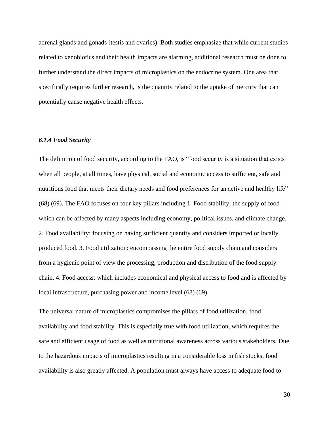adrenal glands and gonads (testis and ovaries). Both studies emphasize that while current studies related to xenobiotics and their health impacts are alarming, additional research must be done to further understand the direct impacts of microplastics on the endocrine system. One area that specifically requires further research, is the quantity related to the uptake of mercury that can potentially cause negative health effects.

## *6.1.4 Food Security*

The definition of food security, according to the FAO, is "food security is a situation that exists when all people, at all times, have physical, social and economic access to sufficient, safe and nutritious food that meets their dietary needs and food preferences for an active and healthy life" (68) (69). The FAO focuses on four key pillars including 1. Food stability: the supply of food which can be affected by many aspects including economy, political issues, and climate change. 2. Food availability: focusing on having sufficient quantity and considers imported or locally produced food. 3. Food utilization: encompassing the entire food supply chain and considers from a hygienic point of view the processing, production and distribution of the food supply chain. 4. Food access: which includes economical and physical access to food and is affected by local infrastructure, purchasing power and income level (68) (69).

The universal nature of microplastics compromises the pillars of food utilization, food availability and food stability. This is especially true with food utilization, which requires the safe and efficient usage of food as well as nutritional awareness across various stakeholders. Due to the hazardous impacts of microplastics resulting in a considerable loss in fish stocks, food availability is also greatly affected. A population must always have access to adequate food to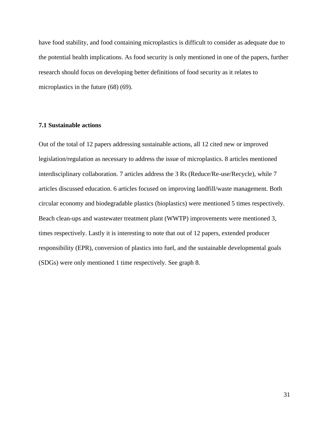have food stability, and food containing microplastics is difficult to consider as adequate due to the potential health implications. As food security is only mentioned in one of the papers, further research should focus on developing better definitions of food security as it relates to microplastics in the future (68) (69).

# **7.1 Sustainable actions**

Out of the total of 12 papers addressing sustainable actions, all 12 cited new or improved legislation/regulation as necessary to address the issue of microplastics. 8 articles mentioned interdisciplinary collaboration. 7 articles address the 3 Rs (Reduce/Re-use/Recycle), while 7 articles discussed education. 6 articles focused on improving landfill/waste management. Both circular economy and biodegradable plastics (bioplastics) were mentioned 5 times respectively. Beach clean-ups and wastewater treatment plant (WWTP) improvements were mentioned 3, times respectively. Lastly it is interesting to note that out of 12 papers, extended producer responsibility (EPR), conversion of plastics into fuel, and the sustainable developmental goals (SDGs) were only mentioned 1 time respectively. See graph 8.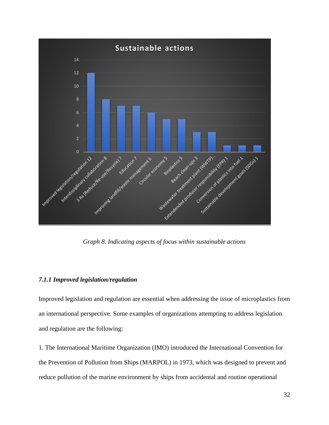

*Graph 8. Indicating aspects of focus within sustainable actions*

# *7.1.1 Improved legislation/regulation*

Improved legislation and regulation are essential when addressing the issue of microplastics from an international perspective. Some examples of organizations attempting to address legislation and regulation are the following:

1. The International Maritime Organization (IMO) introduced the International Convention for the Prevention of Pollution from Ships (MARPOL) in 1973, which was designed to prevent and reduce pollution of the marine environment by ships from accidental and routine operational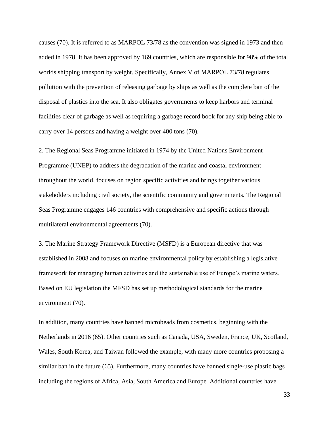causes (70). It is referred to as MARPOL 73/78 as the convention was signed in 1973 and then added in 1978. It has been approved by 169 countries, which are responsible for 98% of the total worlds shipping transport by weight. Specifically, Annex V of MARPOL 73/78 regulates pollution with the prevention of releasing garbage by ships as well as the complete ban of the disposal of plastics into the sea. It also obligates governments to keep harbors and terminal facilities clear of garbage as well as requiring a garbage record book for any ship being able to carry over 14 persons and having a weight over 400 tons (70).

2. The Regional Seas Programme initiated in 1974 by the United Nations Environment Programme (UNEP) to address the degradation of the marine and coastal environment throughout the world, focuses on region specific activities and brings together various stakeholders including civil society, the scientific community and governments. The Regional Seas Programme engages 146 countries with comprehensive and specific actions through multilateral environmental agreements (70).

3. The Marine Strategy Framework Directive (MSFD) is a European directive that was established in 2008 and focuses on marine environmental policy by establishing a legislative framework for managing human activities and the sustainable use of Europe's marine waters. Based on EU legislation the MFSD has set up methodological standards for the marine environment (70).

In addition, many countries have banned microbeads from cosmetics, beginning with the Netherlands in 2016 (65). Other countries such as Canada, USA, Sweden, France, UK, Scotland, Wales, South Korea, and Taiwan followed the example, with many more countries proposing a similar ban in the future (65). Furthermore, many countries have banned single-use plastic bags including the regions of Africa, Asia, South America and Europe. Additional countries have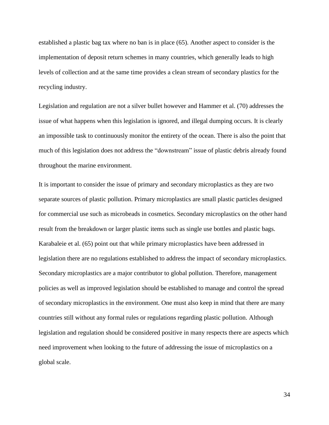established a plastic bag tax where no ban is in place (65). Another aspect to consider is the implementation of deposit return schemes in many countries, which generally leads to high levels of collection and at the same time provides a clean stream of secondary plastics for the recycling industry.

Legislation and regulation are not a silver bullet however and Hammer et al. (70) addresses the issue of what happens when this legislation is ignored, and illegal dumping occurs. It is clearly an impossible task to continuously monitor the entirety of the ocean. There is also the point that much of this legislation does not address the "downstream" issue of plastic debris already found throughout the marine environment.

It is important to consider the issue of primary and secondary microplastics as they are two separate sources of plastic pollution. Primary microplastics are small plastic particles designed for commercial use such as microbeads in cosmetics. Secondary microplastics on the other hand result from the breakdown or larger plastic items such as single use bottles and plastic bags. Karabaleie et al. (65) point out that while primary microplastics have been addressed in legislation there are no regulations established to address the impact of secondary microplastics. Secondary microplastics are a major contributor to global pollution. Therefore, management policies as well as improved legislation should be established to manage and control the spread of secondary microplastics in the environment. One must also keep in mind that there are many countries still without any formal rules or regulations regarding plastic pollution. Although legislation and regulation should be considered positive in many respects there are aspects which need improvement when looking to the future of addressing the issue of microplastics on a global scale.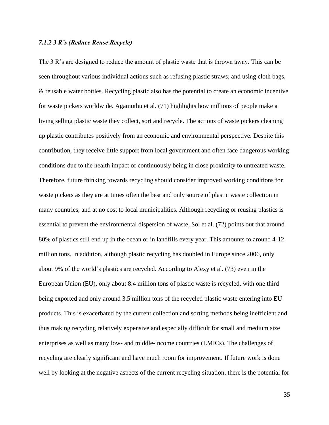## *7.1.2 3 R's (Reduce Reuse Recycle)*

The 3 R's are designed to reduce the amount of plastic waste that is thrown away. This can be seen throughout various individual actions such as refusing plastic straws, and using cloth bags, & reusable water bottles. Recycling plastic also has the potential to create an economic incentive for waste pickers worldwide. Agamuthu et al. (71) highlights how millions of people make a living selling plastic waste they collect, sort and recycle. The actions of waste pickers cleaning up plastic contributes positively from an economic and environmental perspective. Despite this contribution, they receive little support from local government and often face dangerous working conditions due to the health impact of continuously being in close proximity to untreated waste. Therefore, future thinking towards recycling should consider improved working conditions for waste pickers as they are at times often the best and only source of plastic waste collection in many countries, and at no cost to local municipalities. Although recycling or reusing plastics is essential to prevent the environmental dispersion of waste, Sol et al. (72) points out that around 80% of plastics still end up in the ocean or in landfills every year. This amounts to around 4-12 million tons. In addition, although plastic recycling has doubled in Europe since 2006, only about 9% of the world's plastics are recycled. According to Alexy et al. (73) even in the European Union (EU), only about 8.4 million tons of plastic waste is recycled, with one third being exported and only around 3.5 million tons of the recycled plastic waste entering into EU products. This is exacerbated by the current collection and sorting methods being inefficient and thus making recycling relatively expensive and especially difficult for small and medium size enterprises as well as many low- and middle-income countries (LMICs). The challenges of recycling are clearly significant and have much room for improvement. If future work is done well by looking at the negative aspects of the current recycling situation, there is the potential for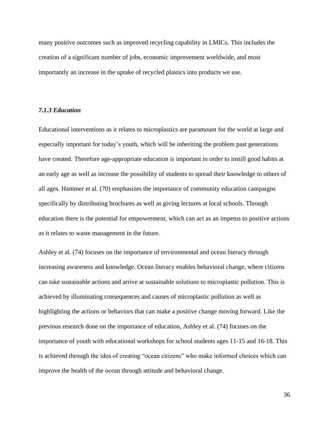many positive outcomes such as improved recycling capability in LMICs. This includes the creation of a significant number of jobs, economic improvement worldwide, and most importantly an increase in the uptake of recycled plastics into products we use.

## *7.1.3 Education*

Educational interventions as it relates to microplastics are paramount for the world at large and especially important for today's youth, which will be inheriting the problem past generations have created. Therefore age-appropriate education is important in order to instill good habits at an early age as well as increase the possibility of students to spread their knowledge to others of all ages. Hammer et al. (70) emphasizes the importance of community education campaigns specifically by distributing brochures as well as giving lectures at local schools. Through education there is the potential for empowerment, which can act as an impetus to positive actions as it relates to waste management in the future.

Ashley et al. (74) focuses on the importance of environmental and ocean literacy through increasing awareness and knowledge. Ocean literacy enables behavioral change, where citizens can take sustainable actions and arrive at sustainable solutions to microplastic pollution. This is achieved by illuminating consequences and causes of microplastic pollution as well as highlighting the actions or behaviors that can make a positive change moving forward. Like the previous research done on the importance of education, Ashley et al. (74) focuses on the importance of youth with educational workshops for school students ages 11-15 and 16-18. This is achieved through the idea of creating "ocean citizens" who make informed choices which can improve the health of the ocean through attitude and behavioral change.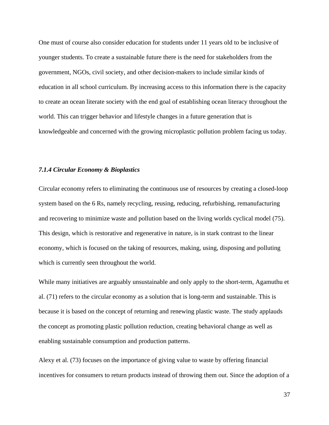One must of course also consider education for students under 11 years old to be inclusive of younger students. To create a sustainable future there is the need for stakeholders from the government, NGOs, civil society, and other decision-makers to include similar kinds of education in all school curriculum. By increasing access to this information there is the capacity to create an ocean literate society with the end goal of establishing ocean literacy throughout the world. This can trigger behavior and lifestyle changes in a future generation that is knowledgeable and concerned with the growing microplastic pollution problem facing us today.

## *7.1.4 Circular Economy & Bioplastics*

Circular economy refers to eliminating the continuous use of resources by creating a closed-loop system based on the 6 Rs, namely recycling, reusing, reducing, refurbishing, remanufacturing and recovering to minimize waste and pollution based on the living worlds cyclical model (75). This design, which is restorative and regenerative in nature, is in stark contrast to the linear economy, which is focused on the taking of resources, making, using, disposing and polluting which is currently seen throughout the world.

While many initiatives are arguably unsustainable and only apply to the short-term, Agamuthu et al. (71) refers to the circular economy as a solution that is long-term and sustainable. This is because it is based on the concept of returning and renewing plastic waste. The study applauds the concept as promoting plastic pollution reduction, creating behavioral change as well as enabling sustainable consumption and production patterns.

Alexy et al. (73) focuses on the importance of giving value to waste by offering financial incentives for consumers to return products instead of throwing them out. Since the adoption of a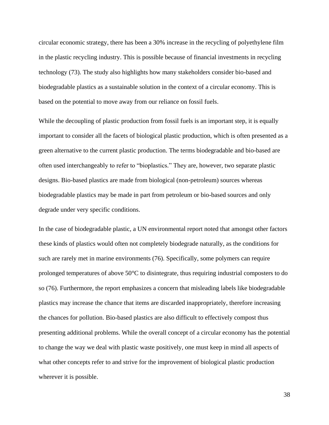circular economic strategy, there has been a 30% increase in the recycling of polyethylene film in the plastic recycling industry. This is possible because of financial investments in recycling technology (73). The study also highlights how many stakeholders consider bio-based and biodegradable plastics as a sustainable solution in the context of a circular economy. This is based on the potential to move away from our reliance on fossil fuels.

While the decoupling of plastic production from fossil fuels is an important step, it is equally important to consider all the facets of biological plastic production, which is often presented as a green alternative to the current plastic production. The terms biodegradable and bio-based are often used interchangeably to refer to "bioplastics." They are, however, two separate plastic designs. Bio-based plastics are made from biological (non-petroleum) sources whereas biodegradable plastics may be made in part from petroleum or bio-based sources and only degrade under very specific conditions.

In the case of biodegradable plastic, a UN environmental report noted that amongst other factors these kinds of plastics would often not completely biodegrade naturally, as the conditions for such are rarely met in marine environments (76). Specifically, some polymers can require prolonged temperatures of above 50°C to disintegrate, thus requiring industrial composters to do so (76). Furthermore, the report emphasizes a concern that misleading labels like biodegradable plastics may increase the chance that items are discarded inappropriately, therefore increasing the chances for pollution. Bio-based plastics are also difficult to effectively compost thus presenting additional problems. While the overall concept of a circular economy has the potential to change the way we deal with plastic waste positively, one must keep in mind all aspects of what other concepts refer to and strive for the improvement of biological plastic production wherever it is possible.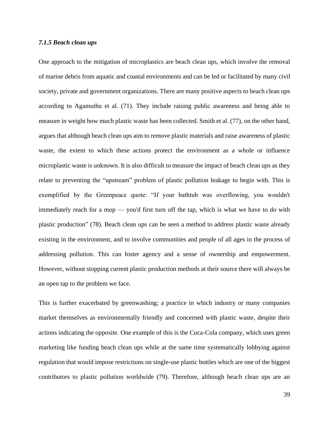## *7.1.5 Beach clean ups*

One approach to the mitigation of microplastics are beach clean ups, which involve the removal of marine debris from aquatic and coastal environments and can be led or facilitated by many civil society, private and government organizations. There are many positive aspects to beach clean ups according to Agamuthu et al. (71). They include raising public awareness and being able to measure in weight how much plastic waste has been collected. Smith et al. (77), on the other hand, argues that although beach clean ups aim to remove plastic materials and raise awareness of plastic waste, the extent to which these actions protect the environment as a whole or influence microplastic waste is unknown. It is also difficult to measure the impact of beach clean ups as they relate to preventing the "upstream" problem of plastic pollution leakage to begin with. This is exemplified by the Greenpeace quote: "If your bathtub was overflowing, you wouldn't immediately reach for a mop — you'd first turn off the tap, which is what we have to do with plastic production" (78). Beach clean ups can be seen a method to address plastic waste already existing in the environment, and to involve communities and people of all ages in the process of addressing pollution. This can foster agency and a sense of ownership and empowerment. However, without stopping current plastic production methods at their source there will always be an open tap to the problem we face.

This is further exacerbated by greenwashing; a practice in which industry or many companies market themselves as environmentally friendly and concerned with plastic waste, despite their actions indicating the opposite. One example of this is the Coca-Cola company, which uses green marketing like funding beach clean ups while at the same time systematically lobbying against regulation that would impose restrictions on single-use plastic bottles which are one of the biggest contributors to plastic pollution worldwide (79). Therefore, although beach clean ups are an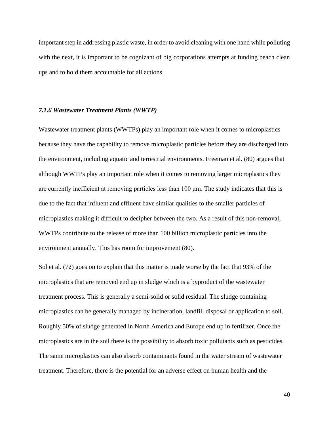important step in addressing plastic waste, in order to avoid cleaning with one hand while polluting with the next, it is important to be cognizant of big corporations attempts at funding beach clean ups and to hold them accountable for all actions.

## *7.1.6 Wastewater Treatment Plants (WWTP)*

Wastewater treatment plants (WWTPs) play an important role when it comes to microplastics because they have the capability to remove microplastic particles before they are discharged into the environment, including aquatic and terrestrial environments. Freeman et al. (80) argues that although WWTPs play an important role when it comes to removing larger microplastics they are currently inefficient at removing particles less than 100 μm. The study indicates that this is due to the fact that influent and effluent have similar qualities to the smaller particles of microplastics making it difficult to decipher between the two. As a result of this non-removal, WWTPs contribute to the release of more than 100 billion microplastic particles into the environment annually. This has room for improvement (80).

Sol et al. (72) goes on to explain that this matter is made worse by the fact that 93% of the microplastics that are removed end up in sludge which is a byproduct of the wastewater treatment process. This is generally a semi-solid or solid residual. The sludge containing microplastics can be generally managed by incineration, landfill disposal or application to soil. Roughly 50% of sludge generated in North America and Europe end up in fertilizer. Once the microplastics are in the soil there is the possibility to absorb toxic pollutants such as pesticides. The same microplastics can also absorb contaminants found in the water stream of wastewater treatment. Therefore, there is the potential for an adverse effect on human health and the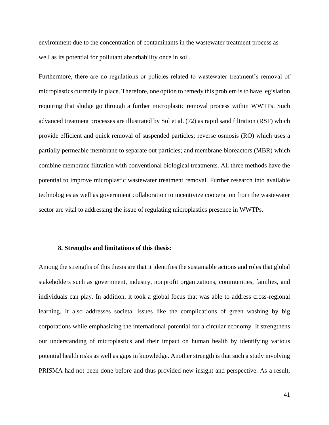environment due to the concentration of contaminants in the wastewater treatment process as well as its potential for pollutant absorbability once in soil.

Furthermore, there are no regulations or policies related to wastewater treatment's removal of microplastics currently in place. Therefore, one option to remedy this problem is to have legislation requiring that sludge go through a further microplastic removal process within WWTPs. Such advanced treatment processes are illustrated by Sol et al. (72) as rapid sand filtration (RSF) which provide efficient and quick removal of suspended particles; reverse osmosis (RO) which uses a partially permeable membrane to separate out particles; and membrane bioreactors (MBR) which combine membrane filtration with conventional biological treatments. All three methods have the potential to improve microplastic wastewater treatment removal. Further research into available technologies as well as government collaboration to incentivize cooperation from the wastewater sector are vital to addressing the issue of regulating microplastics presence in WWTPs.

## **8. Strengths and limitations of this thesis:**

Among the strengths of this thesis are that it identifies the sustainable actions and roles that global stakeholders such as government, industry, nonprofit organizations, communities, families, and individuals can play. In addition, it took a global focus that was able to address cross-regional learning. It also addresses societal issues like the complications of green washing by big corporations while emphasizing the international potential for a circular economy. It strengthens our understanding of microplastics and their impact on human health by identifying various potential health risks as well as gaps in knowledge. Another strength is that such a study involving PRISMA had not been done before and thus provided new insight and perspective. As a result,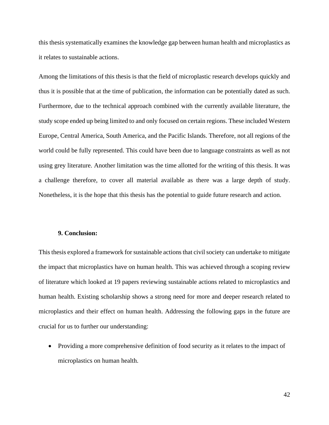this thesis systematically examines the knowledge gap between human health and microplastics as it relates to sustainable actions.

Among the limitations of this thesis is that the field of microplastic research develops quickly and thus it is possible that at the time of publication, the information can be potentially dated as such. Furthermore, due to the technical approach combined with the currently available literature, the study scope ended up being limited to and only focused on certain regions. These included Western Europe, Central America, South America, and the Pacific Islands. Therefore, not all regions of the world could be fully represented. This could have been due to language constraints as well as not using grey literature. Another limitation was the time allotted for the writing of this thesis. It was a challenge therefore, to cover all material available as there was a large depth of study. Nonetheless, it is the hope that this thesis has the potential to guide future research and action.

# **9. Conclusion:**

This thesis explored a framework for sustainable actions that civil society can undertake to mitigate the impact that microplastics have on human health. This was achieved through a scoping review of literature which looked at 19 papers reviewing sustainable actions related to microplastics and human health. Existing scholarship shows a strong need for more and deeper research related to microplastics and their effect on human health. Addressing the following gaps in the future are crucial for us to further our understanding:

• Providing a more comprehensive definition of food security as it relates to the impact of microplastics on human health.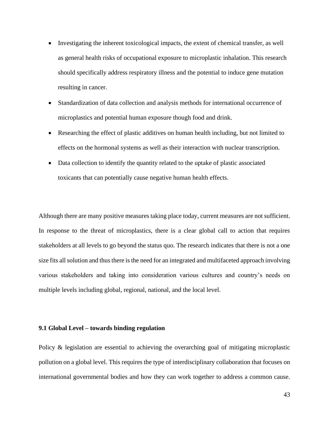- Investigating the inherent toxicological impacts, the extent of chemical transfer, as well as general health risks of occupational exposure to microplastic inhalation. This research should specifically address respiratory illness and the potential to induce gene mutation resulting in cancer.
- Standardization of data collection and analysis methods for international occurrence of microplastics and potential human exposure though food and drink.
- Researching the effect of plastic additives on human health including, but not limited to effects on the hormonal systems as well as their interaction with nuclear transcription.
- Data collection to identify the quantity related to the uptake of plastic associated toxicants that can potentially cause negative human health effects.

Although there are many positive measures taking place today, current measures are not sufficient. In response to the threat of microplastics, there is a clear global call to action that requires stakeholders at all levels to go beyond the status quo. The research indicates that there is not a one size fits all solution and thus there is the need for an integrated and multifaceted approach involving various stakeholders and taking into consideration various cultures and country's needs on multiple levels including global, regional, national, and the local level.

## **9.1 Global Level – towards binding regulation**

Policy & legislation are essential to achieving the overarching goal of mitigating microplastic pollution on a global level. This requires the type of interdisciplinary collaboration that focuses on international governmental bodies and how they can work together to address a common cause.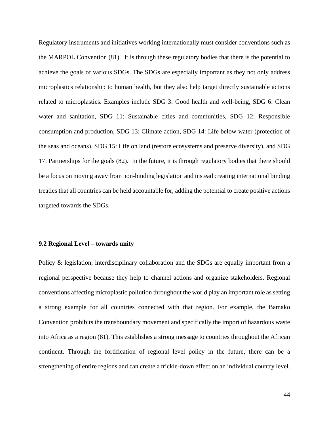Regulatory instruments and initiatives working internationally must consider conventions such as the MARPOL Convention (81). It is through these regulatory bodies that there is the potential to achieve the goals of various SDGs. The SDGs are especially important as they not only address microplastics relationship to human health, but they also help target directly sustainable actions related to microplastics. Examples include SDG 3: Good health and well-being, SDG 6: Clean water and sanitation, SDG 11: Sustainable cities and communities, SDG 12: Responsible consumption and production, SDG 13: Climate action, SDG 14: Life below water (protection of the seas and oceans), SDG 15: Life on land (restore ecosystems and preserve diversity), and SDG 17: Partnerships for the goals (82). In the future, it is through regulatory bodies that there should be a focus on moving away from non-binding legislation and instead creating international binding treaties that all countries can be held accountable for, adding the potential to create positive actions targeted towards the SDGs.

## **9.2 Regional Level – towards unity**

Policy & legislation, interdisciplinary collaboration and the SDGs are equally important from a regional perspective because they help to channel actions and organize stakeholders. Regional conventions affecting microplastic pollution throughout the world play an important role as setting a strong example for all countries connected with that region. For example, the Bamako Convention prohibits the transboundary movement and specifically the import of hazardous waste into Africa as a region (81). This establishes a strong message to countries throughout the African continent. Through the fortification of regional level policy in the future, there can be a strengthening of entire regions and can create a trickle-down effect on an individual country level.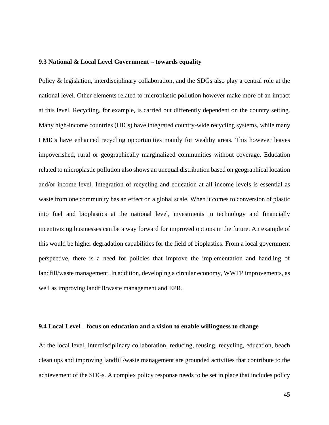## **9.3 National & Local Level Government – towards equality**

Policy & legislation, interdisciplinary collaboration, and the SDGs also play a central role at the national level. Other elements related to microplastic pollution however make more of an impact at this level. Recycling, for example, is carried out differently dependent on the country setting. Many high-income countries (HICs) have integrated country-wide recycling systems, while many LMICs have enhanced recycling opportunities mainly for wealthy areas. This however leaves impoverished, rural or geographically marginalized communities without coverage. Education related to microplastic pollution also shows an unequal distribution based on geographical location and/or income level. Integration of recycling and education at all income levels is essential as waste from one community has an effect on a global scale. When it comes to conversion of plastic into fuel and bioplastics at the national level, investments in technology and financially incentivizing businesses can be a way forward for improved options in the future. An example of this would be higher degradation capabilities for the field of bioplastics. From a local government perspective, there is a need for policies that improve the implementation and handling of landfill/waste management. In addition, developing a circular economy, WWTP improvements, as well as improving landfill/waste management and EPR.

## **9.4 Local Level – focus on education and a vision to enable willingness to change**

At the local level, interdisciplinary collaboration, reducing, reusing, recycling, education, beach clean ups and improving landfill/waste management are grounded activities that contribute to the achievement of the SDGs. A complex policy response needs to be set in place that includes policy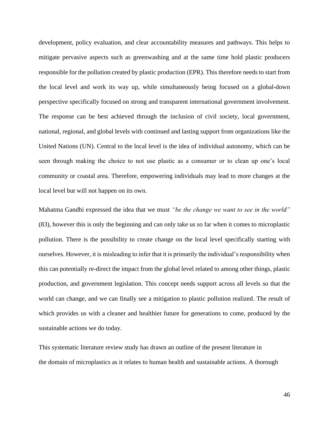development, policy evaluation, and clear accountability measures and pathways. This helps to mitigate pervasive aspects such as greenwashing and at the same time hold plastic producers responsible for the pollution created by plastic production (EPR). This therefore needs to start from the local level and work its way up, while simultaneously being focused on a global-down perspective specifically focused on strong and transparent international government involvement. The response can be best achieved through the inclusion of civil society, local government, national, regional, and global levels with continued and lasting support from organizations like the United Nations (UN). Central to the local level is the idea of individual autonomy, which can be seen through making the choice to not use plastic as a consumer or to clean up one's local community or coastal area. Therefore, empowering individuals may lead to more changes at the local level but will not happen on its own.

Mahatma Gandhi expressed the idea that we must *"be the change we want to see in the world"* (83), however this is only the beginning and can only take us so far when it comes to microplastic pollution. There is the possibility to create change on the local level specifically starting with ourselves. However, it is misleading to infer that it is primarily the individual's responsibility when this can potentially re-direct the impact from the global level related to among other things, plastic production, and government legislation. This concept needs support across all levels so that the world can change, and we can finally see a mitigation to plastic pollution realized. The result of which provides us with a cleaner and healthier future for generations to come, produced by the sustainable actions we do today.

This systematic literature review study has drawn an outline of the present literature in the domain of microplastics as it relates to human health and sustainable actions. A thorough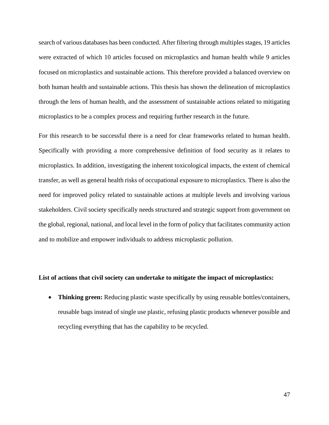search of various databases has been conducted. After filtering through multiples stages, 19 articles were extracted of which 10 articles focused on microplastics and human health while 9 articles focused on microplastics and sustainable actions. This therefore provided a balanced overview on both human health and sustainable actions. This thesis has shown the delineation of microplastics through the lens of human health, and the assessment of sustainable actions related to mitigating microplastics to be a complex process and requiring further research in the future.

For this research to be successful there is a need for clear frameworks related to human health. Specifically with providing a more comprehensive definition of food security as it relates to microplastics. In addition, investigating the inherent toxicological impacts, the extent of chemical transfer, as well as general health risks of occupational exposure to microplastics. There is also the need for improved policy related to sustainable actions at multiple levels and involving various stakeholders. Civil society specifically needs structured and strategic support from government on the global, regional, national, and local level in the form of policy that facilitates community action and to mobilize and empower individuals to address microplastic pollution.

## **List of actions that civil society can undertake to mitigate the impact of microplastics:**

• **Thinking green:** Reducing plastic waste specifically by using reusable bottles/containers, reusable bags instead of single use plastic, refusing plastic products whenever possible and recycling everything that has the capability to be recycled.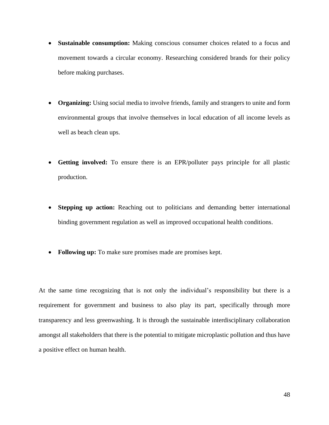- **Sustainable consumption:** Making conscious consumer choices related to a focus and movement towards a circular economy. Researching considered brands for their policy before making purchases.
- **Organizing:** Using social media to involve friends, family and strangers to unite and form environmental groups that involve themselves in local education of all income levels as well as beach clean ups.
- **Getting involved:** To ensure there is an EPR/polluter pays principle for all plastic production.
- **Stepping up action:** Reaching out to politicians and demanding better international binding government regulation as well as improved occupational health conditions.
- **Following up:** To make sure promises made are promises kept.

At the same time recognizing that is not only the individual's responsibility but there is a requirement for government and business to also play its part, specifically through more transparency and less greenwashing. It is through the sustainable interdisciplinary collaboration amongst all stakeholders that there is the potential to mitigate microplastic pollution and thus have a positive effect on human health.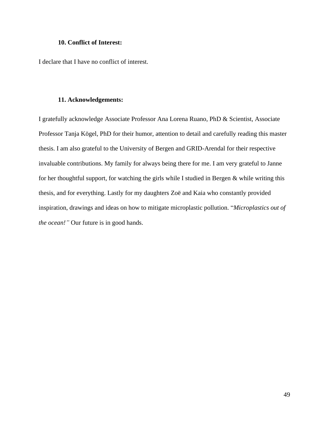## **10. Conflict of Interest:**

I declare that I have no conflict of interest.

## **11. Acknowledgements:**

I gratefully acknowledge Associate Professor Ana Lorena Ruano, PhD & Scientist, Associate Professor Tanja Kögel, PhD for their humor, attention to detail and carefully reading this master thesis. I am also grateful to the University of Bergen and GRID-Arendal for their respective invaluable contributions. My family for always being there for me. I am very grateful to Janne for her thoughtful support, for watching the girls while I studied in Bergen & while writing this thesis, and for everything. Lastly for my daughters Zoë and Kaia who constantly provided inspiration, drawings and ideas on how to mitigate microplastic pollution. "*Microplastics out of the ocean!"* Our future is in good hands.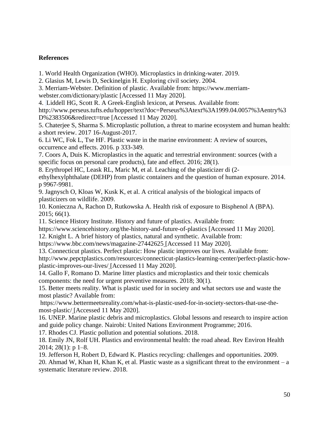# **References**

1. World Health Organization (WHO). Microplastics in drinking-water. 2019.

2. Glasius M, Lewis D, Seckinelgin H. Exploring civil society. 2004.

3. Merriam-Webster. Definition of plastic. Available from: https://www.merriam-

webster.com/dictionary/plastic [Accessed 11 May 2020].

4. Liddell HG, Scott R. A Greek-English lexicon, at Perseus*.* Available from:

http://www.perseus.tufts.edu/hopper/text?doc=Perseus%3Atext%3A1999.04.0057%3Aentry%3 D%2383506&redirect=true [Accessed 11 May 2020].

5. Chaterjee S, Sharma S. Microplastic pollution, a threat to marine ecosystem and human health: a short review. 2017 16-August-2017.

6. Li WC, Fok L, Tse HF. Plastic waste in the marine environment: A review of sources, occurrence and effects. 2016. p 333-349.

7. Coors A, Duis K. Microplastics in the aquatic and terrestrial environment: sources (with a specific focus on personal care products), fate and effect. 2016; 28(1).

8. Erythropel HC, Leask RL, Maric M, et al. Leaching of the plasticizer di (2-

ethylhexylphthalate (DEHP) from plastic containers and the question of human exposure. 2014. p 9967-9981.

9. Jagnysch O, Kloas W, Kusk K, et al. A critical analysis of the biological impacts of plasticizers on wildlife. 2009.

10. Konieczna A, Rachon D, Rutkowska A. Health risk of exposure to Bisphenol A (BPA). 2015; 66(1).

11. Science History Institute. History and future of plastics. Available from:

https://www.sciencehistory.org/the-history-and-future-of-plastics [Accessed 11 May 2020].

12. Knight L. A brief history of plastics, natural and synthetic. Available from:

https://www.bbc.com/news/magazine-27442625 [Accessed 11 May 2020].

13. Connecticut plastics. Perfect plastic: How plastic improves our lives. Available from: http://www.pepctplastics.com/resources/connecticut-plastics-learning-center/perfect-plastic-howplastic-improves-our-lives/ [Accessed 11 May 2020].

14. Gallo F, Romano D. Marine litter plastics and microplastics and their toxic chemicals components: the need for urgent preventive measures. 2018; 30(1).

15. Better meets reality. What is plastic used for in society and what sectors use and waste the most plastic? Available from:

https://www.bettermeetsreality.com/what-is-plastic-used-for-in-society-sectors-that-use-themost-plastic/ [Accessed 11 May 2020].

16. UNEP. Marine plastic debris and microplastics. Global lessons and research to inspire action and guide policy change. Nairobi: United Nations Environment Programme; 2016.

17. Rhodes CJ. Plastic pollution and potential solutions. 2018.

18. Emily JN, Rolf UH. Plastics and environmental health: the road ahead. Rev Environ Health  $2014$ ;  $28(1)$ : p 1-8.

19. Jefferson H, Robert D, Edward K. Plastics recycling: challenges and opportunities. 2009.

20. Ahmad W, Khan H, Khan K, et al. Plastic waste as a significant threat to the environment – a systematic literature review. 2018.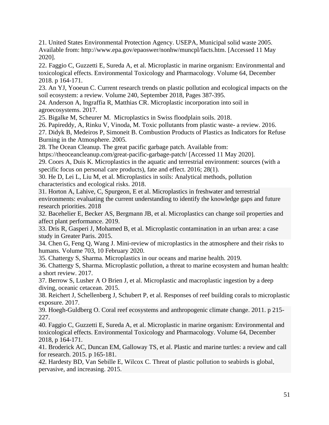21. United States Environmental Protection Agency. USEPA, Municipal solid waste 2005. Available from: http://www.epa.gov/epaoswer/nonhw/muncpl/facts.htm. [Accessed 11 May 2020].

22. Faggio C, Guzzetti E, Sureda A, et al. Microplastic in marine organism: Environmental and toxicological effects. Environmental Toxicology and Pharmacology. Volume 64, December 2018. p 164-171.

23. An YJ, Yooeun C. Current research trends on plastic pollution and ecological impacts on the soil ecosystem: a review. [Volume 240,](https://www.sciencedirect.com/science/journal/02697491/240/supp/C) September 2018, Pages 387-395.

24. Anderson A, Ingraffia R, Matthias CR. Microplastic incorporation into soil in agroecosystems. 2017.

25. Bigalke M, Scheurer M. Microplastics in Swiss floodplain soils. 2018.

26. Papireddy, A, Rinku V, Vinoda, M. Toxic pollutants from plastic waste- a review. 2016.

27. Didyk B, Medeiros P, Simoneit B. Combustion Products of Plastics as Indicators for Refuse Burning in the Atmosphere. 2005.

28. The Ocean Cleanup. The great pacific garbage patch. Available from:

https://theoceancleanup.com/great-pacific-garbage-patch/ [Accessed 11 May 2020].

29. Coors A, Duis K. Microplastics in the aquatic and terrestrial environment: sources (with a specific focus on personal care products), fate and effect. 2016; 28(1).

30. He D, Lei L, Liu M, et al. Microplastics in soils: Analytical methods, pollution characteristics and ecological risks. 2018.

31. Horton A, Lahive, C, Spurgeon, E et al. Microplastics in freshwater and terrestrial environments: evaluating the current understanding to identify the knowledge gaps and future research priorities. 2018

32. Bacehelier E, Becker AS, Bergmann JB, et al. Microplastics can change soil properties and affect plant performance. 2019.

33. Dris R, Gasperi J, Mohamed B, et al. Microplastic contamination in an urban area: a case study in Greater Paris. 2015.

34. Chen G, Feng Q, Wang J. Mini-review of microplastics in the atmosphere and their risks to humans. [Volume 703,](https://www.sciencedirect.com/science/journal/00489697/703/supp/C) 10 February 2020.

35. Chattergy S, Sharma. Microplastics in our oceans and marine health. 2019.

36. Chattergy S, Sharma. Microplastic pollution, a threat to marine ecosystem and human health: a short review. 2017.

37. Berrow S, Lusher A O Brien J, et al. Microplastic and macroplastic ingestion by a deep diving, oceanic cetacean. 2015.

38. Reichert J, Schellenberg J, Schubert P, et al. Responses of reef building corals to microplastic exposure. 2017.

39. Hoegh-Guldberg O. Coral reef ecosystems and anthropogenic climate change. 2011. p 215- 227.

40. Faggio C, Guzzetti E, Sureda A, et al. Microplastic in marine organism: Environmental and toxicological effects. Environmental Toxicology and Pharmacology. Volume 64, December 2018, p 164-171.

41. Broderick AC, Duncan EM, Galloway TS, et al. Plastic and marine turtles: a review and call for research. 2015. p 165-181.

42. Hardesty BD, Van Sebille E, Wilcox C. Threat of plastic pollution to seabirds is global, pervasive, and increasing. 2015.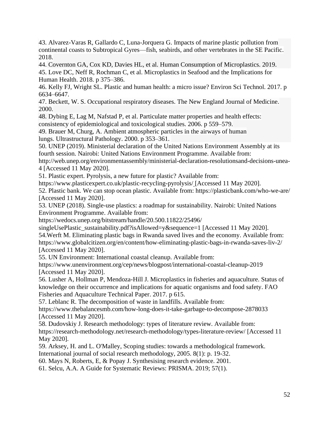43. Alvarez-Varas R, Gallardo C, Luna-Jorquera G. Impacts of marine plastic pollution from continental coasts to Subtropical Gyres—fish, seabirds, and other vertebrates in the SE Pacific. 2018.

44. Covernton GA, Cox KD, Davies HL, et al. Human Consumption of Microplastics. 2019. 45. Love DC, Neff R, Rochman C, et al. Microplastics in Seafood and the Implications for

Human Health. 2018. p 375–386.

46. Kelly FJ, Wright SL. Plastic and human health: a micro issue? Environ Sci Technol. 2017. p 6634–6647.

47. Beckett, W. S. Occupational respiratory diseases. The New England Journal of Medicine. 2000.

48. Dybing E, Lag M, Nafstad P, et al. Particulate matter properties and health effects: consistency of epidemiological and toxicological studies. 2006. p 559–579.

49. Brauer M, Churg, A. Ambient atmospheric particles in the airways of human lungs. Ultrastructural Pathology. 2000. p 353–361.

50. UNEP (2019). Ministerial declaration of the United Nations Environment Assembly at its fourth session. Nairobi: United Nations Environment Programme. Available from:

http://web.unep.org/environmentassembly/ministerial-declaration-resolutionsand-decisions-unea-4 [Accessed 11 May 2020].

51. Plastic expert. Pyrolysis, a new future for plastic? Available from:

https://www.plasticexpert.co.uk/plastic-recycling-pyrolysis/ [Accessed 11 May 2020].

52. Plastic bank. We can stop ocean plastic. Available from: https://plasticbank.com/who-we-are/ [Accessed 11 May 2020].

53. UNEP (2018). Single-use plastics: a roadmap for sustainability. Nairobi: United Nations Environment Programme. Available from:

https://wedocs.unep.org/bitstream/handle/20.500.11822/25496/

singleUsePlastic\_sustainability.pdf?isAllowed=y&sequence=1 [Accessed 11 May 2020]. 54.Werft M. Eliminating plastic bags in Rwanda saved lives and the economy. Available from: https://www.globalcitizen.org/en/content/how-eliminating-plastic-bags-in-rwanda-saves-liv-2/ [Accessed 11 May 2020].

55. UN Environment: International coastal cleanup. Available from:

https://www.unenvironment.org/cep/news/blogpost/international-coastal-cleanup-2019 [Accessed 11 May 2020].

56. Lusher A, Hollman P, Mendoza-Hill J. Microplastics in fisheries and aquaculture. Status of knowledge on their occurrence and implications for aquatic organisms and food safety. FAO Fisheries and Aquaculture Technical Paper. 2017. p 615.

57. Leblanc R. The decomposition of waste in landfills. Available from:

https://www.thebalancesmb.com/how-long-does-it-take-garbage-to-decompose-2878033 [Accessed 11 May 2020].

58. Dudovskiy J. Research methodology: types of literature review. Available from: https://research-methodology.net/research-methodology/types-literature-review/ [Accessed 11 May 2020].

59. Arksey, H. and L. O'Malley, Scoping studies: towards a methodological framework.

International journal of social research methodology, 2005. 8(1): p. 19-32.

60. Mays N, Roberts, E, & Popay J. Synthesising research evidence. 2001.

61. Selcu, A.A. A Guide for Systematic Reviews: PRISMA. 2019; 57(1).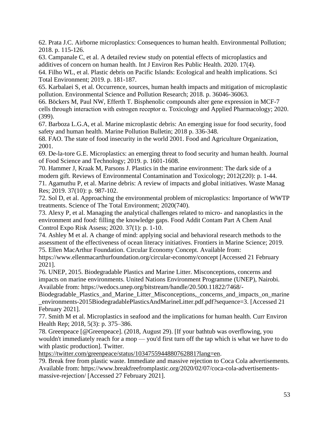62. Prata J.C. Airborne microplastics: Consequences to human health. Environmental Pollution; 2018. p. 115-126.

63. Campanale C, et al. A detailed review study on potential effects of microplastics and additives of concern on human health. Int J Environ Res Public Health. 2020. 17(4).

64. Filho WL, et al. Plastic debris on Pacific Islands: Ecological and health implications. Sci Total Environment; 2019. p. 181-187.

65. Karbalaei S, et al. Occurrence, sources, human health impacts and mitigation of microplastic pollution. Environmental Science and Pollution Research; 2018. p. 36046-36063.

66. Böckers M, Paul NW, Efferth T. Bisphenolic compounds alter gene expression in MCF-7 cells through interaction with estrogen receptor α. Toxicology and Applied Pharmacology; 2020. (399).

67. Barboza L.G.A, et al. Marine microplastic debris: An emerging issue for food security, food safety and human health. Marine Pollution Bulletin; 2018 p. 336-348.

68. FAO. The state of food insecurity in the world 2001. Food and Agriculture Organization, 2001.

69. De-la-tore G.E. Microplastics: an emerging threat to food security and human health. Journal of Food Science and Technology; 2019. p. 1601-1608.

70. Hammer J, Kraak M, Parsons J. Plastics in the marine environment: The dark side of a modern gift. Reviews of Environmental Contamination and Toxicology; 2012(220): p. 1-44. 71. Agamuthu P, et al. Marine debris: A review of impacts and global initiatives. Waste Manag Res; 2019. 37(10): p. 987-102.

72. Sol D, et al. Approaching the environmental problem of microplastics: Importance of WWTP treatments. Science of The Total Environment; 2020(740).

73. Alexy P, et al. Managing the analytical challenges related to micro- and nanoplastics in the environment and food: filling the knowledge gaps. Food Addit Contam Part A Chem Anal Control Expo Risk Assess; 2020. 37(1): p. 1-10.

74. Ashley M et al. A change of mind: applying social and behavioral research methods to the assessment of the effectiveness of ocean literacy initiatives. Frontiers in Marine Science; 2019. 75. Ellen MacArthur Foundation. Circular Economy Concept. Available from:

https://www.ellenmacarthurfoundation.org/circular-economy/concept [Accessed 21 February 2021].

76. UNEP, 2015. Biodegradable Plastics and Marine Litter. Misconceptions, concerns and impacts on marine environments. United Nations Environment Programme (UNEP), Nairobi. Available from: https://wedocs.unep.org/bitstream/handle/20.500.11822/7468/-

Biodegradable\_Plastics\_and\_Marine\_Litter\_Misconceptions,\_concerns\_and\_impacts\_on\_marine \_environments-2015BiodegradablePlasticsAndMarineLitter.pdf.pdf?sequence=3. [Accessed 21 February 2021].

77. Smith M et al. Microplastics in seafood and the implications for human health. Curr Environ Health Rep; 2018, 5(3): p. 375–386.

78. Greenpeace [@Greenpeace]. (2018, August 29). [If your bathtub was overflowing, you wouldn't immediately reach for a mop — you'd first turn off the tap which is what we have to do with plastic production]. Twitter.

[https://twitter.com/greenpeace/status/1034755944880762881?lang=en.](https://twitter.com/greenpeace/status/1034755944880762881?lang=en)

79. Break free from plastic waste. Immediate and massive rejection to Coca Cola advertisements. Available from: https://www.breakfreefromplastic.org/2020/02/07/coca-cola-advertisementsmassive-rejection/ [Accessed 27 February 2021].